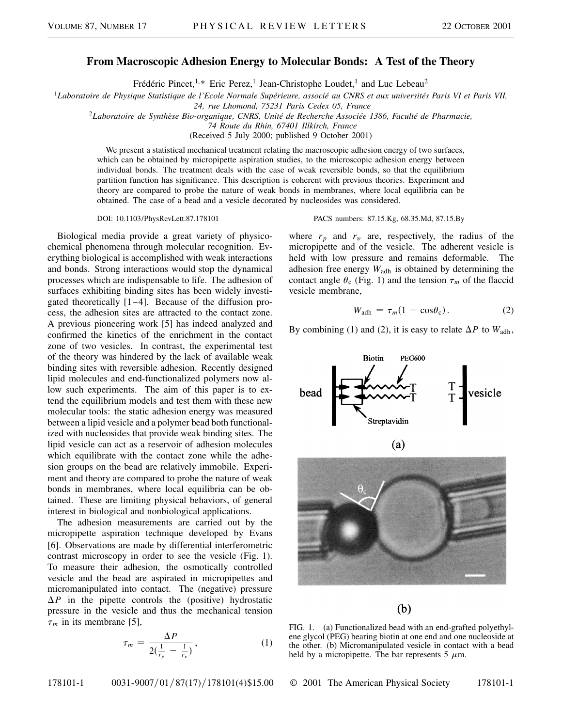## **From Macroscopic Adhesion Energy to Molecular Bonds: A Test of the Theory**

Frédéric Pincet,<sup>1,\*</sup> Eric Perez,<sup>1</sup> Jean-Christophe Loudet,<sup>1</sup> and Luc Lebeau<sup>2</sup>

<sup>1</sup>*Laboratoire de Physique Statistique de l'Ecole Normale Supérieure, associé au CNRS et aux universités Paris VI et Paris VII,*

*24, rue Lhomond, 75231 Paris Cedex 05, France*

<sup>2</sup>*Laboratoire de Synthèse Bio-organique, CNRS, Unité de Recherche Associée 1386, Faculté de Pharmacie,*

*74 Route du Rhin, 67401 Illkirch, France*

(Received 5 July 2000; published 9 October 2001)

We present a statistical mechanical treatment relating the macroscopic adhesion energy of two surfaces, which can be obtained by micropipette aspiration studies, to the microscopic adhesion energy between individual bonds. The treatment deals with the case of weak reversible bonds, so that the equilibrium partition function has significance. This description is coherent with previous theories. Experiment and theory are compared to probe the nature of weak bonds in membranes, where local equilibria can be obtained. The case of a bead and a vesicle decorated by nucleosides was considered.

Biological media provide a great variety of physicochemical phenomena through molecular recognition. Everything biological is accomplished with weak interactions and bonds. Strong interactions would stop the dynamical processes which are indispensable to life. The adhesion of surfaces exhibiting binding sites has been widely investigated theoretically  $[1-4]$ . Because of the diffusion process, the adhesion sites are attracted to the contact zone. A previous pioneering work [5] has indeed analyzed and confirmed the kinetics of the enrichment in the contact zone of two vesicles. In contrast, the experimental test of the theory was hindered by the lack of available weak binding sites with reversible adhesion. Recently designed lipid molecules and end-functionalized polymers now allow such experiments. The aim of this paper is to extend the equilibrium models and test them with these new molecular tools: the static adhesion energy was measured between a lipid vesicle and a polymer bead both functionalized with nucleosides that provide weak binding sites. The lipid vesicle can act as a reservoir of adhesion molecules which equilibrate with the contact zone while the adhesion groups on the bead are relatively immobile. Experiment and theory are compared to probe the nature of weak bonds in membranes, where local equilibria can be obtained. These are limiting physical behaviors, of general interest in biological and nonbiological applications.

The adhesion measurements are carried out by the micropipette aspiration technique developed by Evans [6]. Observations are made by differential interferometric contrast microscopy in order to see the vesicle (Fig. 1). To measure their adhesion, the osmotically controlled vesicle and the bead are aspirated in micropipettes and micromanipulated into contact. The (negative) pressure  $\Delta P$  in the pipette controls the (positive) hydrostatic pressure in the vesicle and thus the mechanical tension  $\tau_m$  in its membrane [5],

$$
\tau_m = \frac{\Delta P}{2(\frac{1}{r_p} - \frac{1}{r_v})},\tag{1}
$$

178101-1 0031-9007/01/87(17)/178101(4)\$15.00 © 2001 The American Physical Society 178101-1

DOI: 10.1103/PhysRevLett.87.178101 PACS numbers: 87.15.Kg, 68.35.Md, 87.15.By

where  $r_p$  and  $r_v$  are, respectively, the radius of the micropipette and of the vesicle. The adherent vesicle is held with low pressure and remains deformable. The adhesion free energy  $W_{\text{adh}}$  is obtained by determining the contact angle  $\theta_c$  (Fig. 1) and the tension  $\tau_m$  of the flaccid vesicle membrane,

$$
W_{\text{adh}} = \tau_m (1 - \cos \theta_c). \tag{2}
$$

By combining (1) and (2), it is easy to relate  $\Delta P$  to  $W_{\text{adh}}$ ,



 $(b)$ 

FIG. 1. (a) Functionalized bead with an end-grafted polyethylene glycol (PEG) bearing biotin at one end and one nucleoside at the other. (b) Micromanipulated vesicle in contact with a bead held by a micropipette. The bar represents 5  $\mu$ m.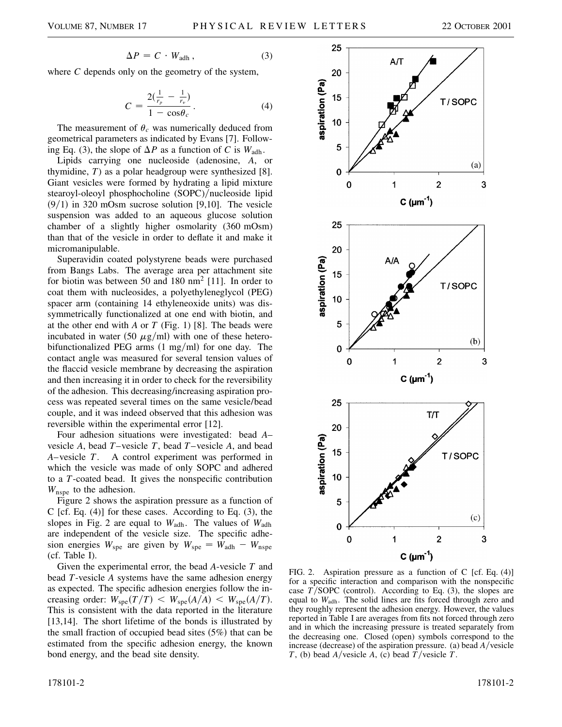$$
\Delta P = C \cdot W_{\text{adh}}\,,\tag{3}
$$

where *C* depends only on the geometry of the system,

$$
C = \frac{2(\frac{1}{r_p} - \frac{1}{r_v})}{1 - \cos \theta_c}.
$$
 (4)

The measurement of  $\theta_c$  was numerically deduced from geometrical parameters as indicated by Evans [7]. Following Eq. (3), the slope of  $\Delta P$  as a function of *C* is  $W_{\text{adh}}$ .

Lipids carrying one nucleoside (adenosine, *A*, or thymidine, *T*) as a polar headgroup were synthesized [8]. Giant vesicles were formed by hydrating a lipid mixture stearoyl-oleoyl phosphocholine (SOPC)/nucleoside lipid  $(9/1)$  in 320 mOsm sucrose solution [9,10]. The vesicle suspension was added to an aqueous glucose solution chamber of a slightly higher osmolarity (360 mOsm) than that of the vesicle in order to deflate it and make it micromanipulable.

Superavidin coated polystyrene beads were purchased from Bangs Labs. The average area per attachment site for biotin was between 50 and 180 nm<sup>2</sup> [11]. In order to coat them with nucleosides, a polyethyleneglycol (PEG) spacer arm (containing 14 ethyleneoxide units) was dissymmetrically functionalized at one end with biotin, and at the other end with *A* or *T* (Fig. 1) [8]. The beads were incubated in water (50  $\mu$ g/ml) with one of these heterobifunctionalized PEG arms  $(1 \text{ mg/ml})$  for one day. The contact angle was measured for several tension values of the flaccid vesicle membrane by decreasing the aspiration and then increasing it in order to check for the reversibility of the adhesion. This decreasing/increasing aspiration process was repeated several times on the same vesicle/bead couple, and it was indeed observed that this adhesion was reversible within the experimental error [12].

Four adhesion situations were investigated: bead *A*– vesicle *A*, bead *T*–vesicle *T*, bead *T*–vesicle *A*, and bead *A*–vesicle *T*. A control experiment was performed in which the vesicle was made of only SOPC and adhered to a *T*-coated bead. It gives the nonspecific contribution  $W_{\text{nspe}}$  to the adhesion.

Figure 2 shows the aspiration pressure as a function of C [cf. Eq. (4)] for these cases. According to Eq. (3), the slopes in Fig. 2 are equal to *W*adh. The values of *W*adh are independent of the vesicle size. The specific adhesion energies  $W_{\text{spe}}$  are given by  $W_{\text{spe}} = W_{\text{adh}} - W_{\text{nspe}}$ (cf. Table I).

Given the experimental error, the bead *A*-vesicle *T* and bead *T*-vesicle *A* systems have the same adhesion energy as expected. The specific adhesion energies follow the increasing order:  $W_{\text{spe}}(T/T) \leq W_{\text{spe}}(A/A) \leq W_{\text{spe}}(A/T)$ . This is consistent with the data reported in the literature [13,14]. The short lifetime of the bonds is illustrated by the small fraction of occupied bead sites  $(5%)$  that can be estimated from the specific adhesion energy, the known bond energy, and the bead site density.



FIG. 2. Aspiration pressure as a function of C [cf. Eq. (4)] for a specific interaction and comparison with the nonspecific case  $T/SOPC$  (control). According to Eq. (3), the slopes are equal to  $W_{\text{adh}}$ . The solid lines are fits forced through zero and they roughly represent the adhesion energy. However, the values reported in Table I are averages from fits not forced through zero and in which the increasing pressure is treated separately from the decreasing one. Closed (open) symbols correspond to the increase (decrease) of the aspiration pressure. (a) bead *A*/vesicle *T*, (b) bead *A*/vesicle *A*, (c) bead *T*/vesicle *T*.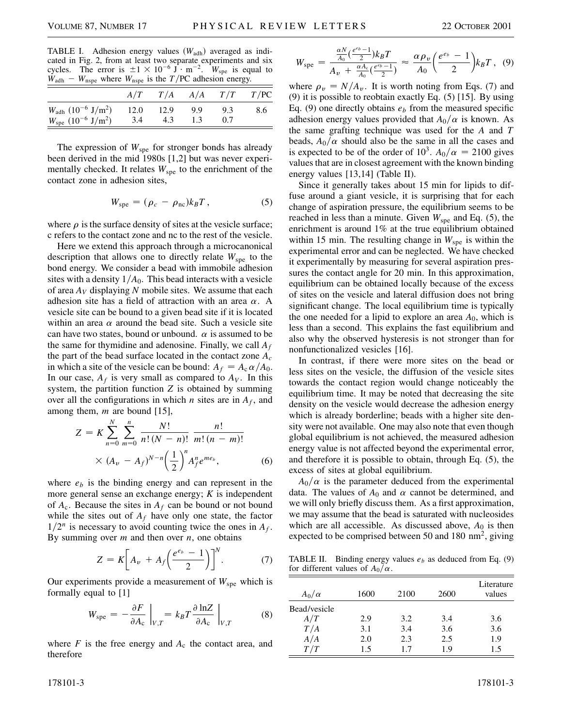TABLE I. Adhesion energy values (W<sub>adh</sub>) averaged as indicated in Fig. 2, from at least two separate experiments and six cycles. The error is  $\pm 1 \times 10^{-6}$  J  $\cdot$  m<sup>-2</sup>. *W*<sub>spe</sub> is equal to  $W_{\text{adh}} - W_{\text{nspe}}$  where  $W_{\text{nspe}}$  is the *T*/PC adhesion energy.

|                                                       | A/T  |      |      | $T/A$ $A/A$ $T/T$ $T/PC$ |     |
|-------------------------------------------------------|------|------|------|--------------------------|-----|
| $W_{\text{adh}}$ (10 <sup>-6</sup> J/m <sup>2</sup> ) | 12.0 | 12.9 | -9.9 | 9.3                      | 8.6 |
| $W_{\rm spe}$ (10 <sup>-6</sup> J/m <sup>2</sup> )    | -3.4 | 4.3  | 1.3  |                          |     |

The expression of  $W_{\text{spe}}$  for stronger bonds has already been derived in the mid 1980s [1,2] but was never experimentally checked. It relates  $W_{\rm spe}$  to the enrichment of the contact zone in adhesion sites,

$$
W_{\rm spe} = (\rho_c - \rho_{\rm nc})k_B T, \qquad (5)
$$

where  $\rho$  is the surface density of sites at the vesicle surface; c refers to the contact zone and nc to the rest of the vesicle.

Here we extend this approach through a microcanonical description that allows one to directly relate  $W_{\text{spe}}$  to the bond energy. We consider a bead with immobile adhesion sites with a density  $1/A<sub>0</sub>$ . This bead interacts with a vesicle of area *AV* displaying *N* mobile sites. We assume that each adhesion site has a field of attraction with an area  $\alpha$ . A vesicle site can be bound to a given bead site if it is located within an area  $\alpha$  around the bead site. Such a vesicle site can have two states, bound or unbound.  $\alpha$  is assumed to be the same for thymidine and adenosine. Finally, we call *Af* the part of the bead surface located in the contact zone *Ac* in which a site of the vesicle can be bound:  $A_f = A_c \alpha / A_0$ . In our case,  $A_f$  is very small as compared to  $A_V$ . In this system, the partition function *Z* is obtained by summing over all the configurations in which *n* sites are in  $A_f$ , and among them, *m* are bound [15],

$$
Z = K \sum_{n=0}^{N} \sum_{m=0}^{n} \frac{N!}{n! (N-n)!} \frac{n!}{m! (n-m)!}
$$
  
 
$$
\times (A_v - A_f)^{N-n} \left(\frac{1}{2}\right)^n A_f^n e^{me_b}, \qquad (6)
$$

where  $e<sub>b</sub>$  is the binding energy and can represent in the more general sense an exchange energy; *K* is independent of  $A_c$ . Because the sites in  $A_f$  can be bound or not bound while the sites out of  $A_f$  have only one state, the factor  $1/2^n$  is necessary to avoid counting twice the ones in  $A_f$ . By summing over *m* and then over *n*, one obtains

$$
Z = K \bigg[ A_v + A_f \bigg( \frac{e^{e_b} - 1}{2} \bigg) \bigg]^N. \tag{7}
$$

Our experiments provide a measurement of  $W_{\text{spe}}$  which is formally equal to [1]

$$
W_{\rm spe} = -\frac{\partial F}{\partial A_{\rm c}}\Big|_{V,T} = k_B T \frac{\partial \ln Z}{\partial A_{\rm c}}\Big|_{V,T}
$$
 (8)

where  $F$  is the free energy and  $A_c$  the contact area, and therefore

where  $\rho_v = N/A_v$ . It is worth noting from Eqs. (7) and (9) it is possible to reobtain exactly Eq. (5) [15]. By using Eq.  $(9)$  one directly obtains  $e<sub>b</sub>$  from the measured specific adhesion energy values provided that  $A_0/\alpha$  is known. As the same grafting technique was used for the *A* and *T* beads,  $A_0/\alpha$  should also be the same in all the cases and is expected to be of the order of  $10^3$ .  $A_0/\alpha = 2100$  gives values that are in closest agreement with the known binding energy values [13,14] (Table II).

Since it generally takes about 15 min for lipids to diffuse around a giant vesicle, it is surprising that for each change of aspiration pressure, the equilibrium seems to be reached in less than a minute. Given  $W_{\text{spe}}$  and Eq. (5), the enrichment is around 1% at the true equilibrium obtained within 15 min. The resulting change in  $W_{\text{spe}}$  is within the experimental error and can be neglected. We have checked it experimentally by measuring for several aspiration pressures the contact angle for 20 min. In this approximation, equilibrium can be obtained locally because of the excess of sites on the vesicle and lateral diffusion does not bring significant change. The local equilibrium time is typically the one needed for a lipid to explore an area  $A_0$ , which is less than a second. This explains the fast equilibrium and also why the observed hysteresis is not stronger than for nonfunctionalized vesicles [16].

In contrast, if there were more sites on the bead or less sites on the vesicle, the diffusion of the vesicle sites towards the contact region would change noticeably the equilibrium time. It may be noted that decreasing the site density on the vesicle would decrease the adhesion energy which is already borderline; beads with a higher site density were not available. One may also note that even though global equilibrium is not achieved, the measured adhesion energy value is not affected beyond the experimental error, and therefore it is possible to obtain, through Eq. (5), the excess of sites at global equilibrium.

 $A_0/\alpha$  is the parameter deduced from the experimental data. The values of  $A_0$  and  $\alpha$  cannot be determined, and we will only briefly discuss them. As a first approximation, we may assume that the bead is saturated with nucleosides which are all accessible. As discussed above,  $A_0$  is then expected to be comprised between 50 and 180  $\text{nm}^2$ , giving

TABLE II. Binding energy values  $e<sub>b</sub>$  as deduced from Eq. (9) for different values of  $A_0/\alpha$ .

| $A_0/\alpha$ | 1600 | 2100 | 2600 | Literature<br>values |
|--------------|------|------|------|----------------------|
| Bead/vesicle |      |      |      |                      |
| A/T          | 2.9  | 3.2  | 3.4  | 3.6                  |
| T/A          | 3.1  | 3.4  | 3.6  | 3.6                  |
| A/A          | 2.0  | 2.3  | 2.5  | 1.9                  |
| T/T          | 1.5  | 17   | 1.9  | 1.5                  |